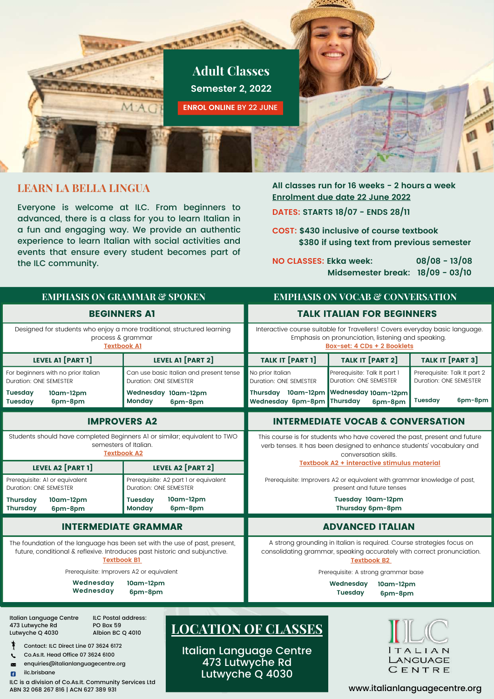

### **LEARN LA BELLA LINGUA**

ILC is a division of Co.As.It. Community Services Ltd

ABN 32 068 267 816 | ACN 627 389 931

Everyone is welcome at ILC. From beginners to advanced, there is a class for you to learn Italian in a fun and engaging way. We provide an authentic experience to learn Italian with social activities and events that ensure every student becomes part of the ILC community.

#### **All classes run for 16 weeks - 2 hours a week Enrolment due date 22 June 2022**

**DATES: STARTS 18/07 - ENDS 28/11**

**COST: \$430 inclusive of course textbook \$380 ifusing text from previous semester**

**NO CLASSES: Ekka week: 08/08 - 13/08 Midsemester break: 18/09 - 03/10**

| <b>EMPHASIS ON GRAMMAR &amp; SPOKEN</b><br><b>EMPHASIS ON VOCAB &amp; CONVERSATION</b>                                                                                         |                                                                        |                                                                                                                                                                            |                                                        |                                                        |
|--------------------------------------------------------------------------------------------------------------------------------------------------------------------------------|------------------------------------------------------------------------|----------------------------------------------------------------------------------------------------------------------------------------------------------------------------|--------------------------------------------------------|--------------------------------------------------------|
| <b>BEGINNERS AT</b>                                                                                                                                                            |                                                                        | <b>TALK ITALIAN FOR BEGINNERS</b>                                                                                                                                          |                                                        |                                                        |
| Designed for students who enjoy a more traditional, structured learning<br>process & grammar<br><b>Textbook Al</b>                                                             |                                                                        | Interactive course suitable for Travellers! Covers everyday basic language.<br>Emphasis on pronunciation, listening and speaking.<br>Box-set: 4 CDs + 2 Booklets           |                                                        |                                                        |
| <b>LEVEL A1 [PART 1]</b>                                                                                                                                                       | <b>LEVEL A1 [PART 2]</b>                                               | <b>TALK IT [PART 1]</b>                                                                                                                                                    | TALK IT [PART 2]                                       | TALK IT [PART 3]                                       |
| For beginners with no prior Italian<br>Duration: ONE SEMESTER                                                                                                                  | Can use basic Italian and present tense<br>Duration: ONE SEMESTER      | No prior Italian<br><b>Duration: ONE SEMESTER</b>                                                                                                                          | Prerequisite: Talk It part 1<br>Duration: ONE SEMESTER | Prerequisite: Talk It part 2<br>Duration: ONE SEMESTER |
| <b>Tuesday</b><br>$10$ am- $12$ pm<br><b>Tuesday</b><br>6pm-8pm                                                                                                                | Wednesday 10am-12pm<br>Monday<br>6pm-8pm                               | Thursday 10am-12pm<br>Wednesday 6pm-8pm                                                                                                                                    | Wednesday 10am-12pm<br>Thursday<br>6pm-8pm             | 6pm-8pm<br><b>Tuesday</b>                              |
| <b>IMPROVERS A2</b>                                                                                                                                                            | <b>INTERMEDIATE VOCAB &amp; CONVERSATION</b>                           |                                                                                                                                                                            |                                                        |                                                        |
| Students should have completed Beginners A1 or similar; equivalent to TWO<br>semesters of Italian.<br><b>Textbook A2</b>                                                       |                                                                        | This course is for students who have covered the past, present and future<br>verb tenses. It has been designed to enhance students' vocabulary and<br>conversation skills. |                                                        |                                                        |
| LEVEL A2 [PART 1]                                                                                                                                                              | LEVEL A2 [PART 2]                                                      | Textbook A2 + interactive stimulus material                                                                                                                                |                                                        |                                                        |
| Prerequisite: AI or equivalent<br><b>Duration: ONE SEMESTER</b>                                                                                                                | Prerequisite: A2 part 1 or equivalent<br><b>Duration: ONE SEMESTER</b> | Prerequisite: Improvers A2 or equivalent with grammar knowledge of past,<br>present and future tenses                                                                      |                                                        |                                                        |
| <b>Thursday</b><br>$10$ am- $12$ pm<br><b>Thursday</b><br>6pm-8pm                                                                                                              | $10$ am- $12$ pm<br><b>Tuesday</b><br>Monday<br>6pm-8pm                | Tuesday 10am-12pm<br>Thursday 6pm-8pm                                                                                                                                      |                                                        |                                                        |
| <b>INTERMEDIATE GRAMMAR</b>                                                                                                                                                    |                                                                        | <b>ADVANCED ITALIAN</b>                                                                                                                                                    |                                                        |                                                        |
| The foundation of the language has been set with the use of past, present,<br>future, conditional & reflexive. Introduces past historic and subjunctive.<br><b>Textbook B1</b> |                                                                        | A strong grounding in Italian is required. Course strategies focus on<br>consolidating grammar, speaking accurately with correct pronunciation.<br><b>Textbook B2</b>      |                                                        |                                                        |
| Prerequisite: Improvers A2 or equivalent                                                                                                                                       |                                                                        | Prerequisite: A strong grammar base                                                                                                                                        |                                                        |                                                        |
| Wednesday<br>Wednesday                                                                                                                                                         | 10am-12pm<br>6pm-8pm                                                   |                                                                                                                                                                            | Wednesday<br>10am-12pm<br><b>Tuesday</b><br>6pm-8pm    |                                                        |
| Italian Language Centre<br><b>ILC Postal address:</b><br>473 Lutwyche Rd<br>PO Box 59<br>Lutwyche Q 4030<br>Albion BC Q 4010                                                   | <b>LOCATION OF CLASSES</b>                                             |                                                                                                                                                                            |                                                        |                                                        |
| Contact: ILC Direct Line 07 3624 6172<br>Co.As.It. Head Office 07 3624 6100<br>enquiries@italianlanguagecentre.org<br>$_{\times}$<br>ilc.brisbane<br>n                         |                                                                        | Italian Language Centre<br>473 Lutwyche Rd<br>Lutwyche Q 4030                                                                                                              |                                                        | TALIAN<br>LANGUAGE<br>CENTRE                           |

www.italianlanguagecentre.org